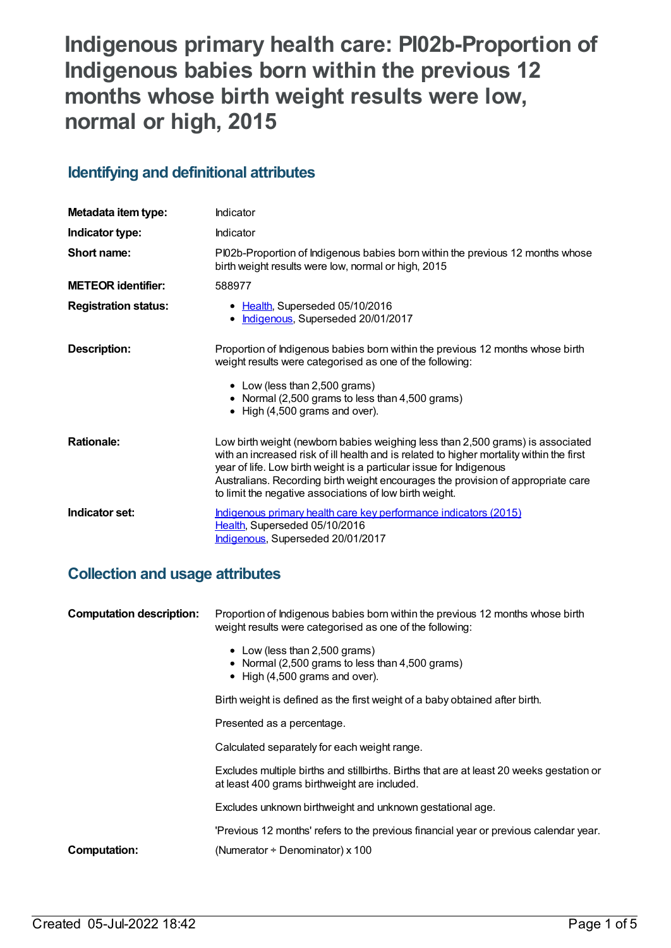# **Indigenous primary health care: PI02b-Proportion of Indigenous babies born within the previous 12 months whose birth weight results were low, normal or high, 2015**

## **Identifying and definitional attributes**

| Metadata item type:         | Indicator                                                                                                                                                                                                                                                                                                                                                                                        |
|-----------------------------|--------------------------------------------------------------------------------------------------------------------------------------------------------------------------------------------------------------------------------------------------------------------------------------------------------------------------------------------------------------------------------------------------|
| Indicator type:             | Indicator                                                                                                                                                                                                                                                                                                                                                                                        |
| Short name:                 | PI02b-Proportion of Indigenous babies born within the previous 12 months whose<br>birth weight results were low, normal or high, 2015                                                                                                                                                                                                                                                            |
| <b>METEOR identifier:</b>   | 588977                                                                                                                                                                                                                                                                                                                                                                                           |
| <b>Registration status:</b> | • Health, Superseded 05/10/2016<br>Indigenous, Superseded 20/01/2017<br>$\bullet$                                                                                                                                                                                                                                                                                                                |
| <b>Description:</b>         | Proportion of Indigenous babies born within the previous 12 months whose birth<br>weight results were categorised as one of the following:<br>• Low (less than 2,500 grams)<br>• Normal (2,500 grams to less than 4,500 grams)<br>$\bullet$ High (4,500 grams and over).                                                                                                                         |
| <b>Rationale:</b>           | Low birth weight (newborn babies weighing less than 2,500 grams) is associated<br>with an increased risk of ill health and is related to higher mortality within the first<br>year of life. Low birth weight is a particular issue for Indigenous<br>Australians. Recording birth weight encourages the provision of appropriate care<br>to limit the negative associations of low birth weight. |
| Indicator set:              | Indigenous primary health care key performance indicators (2015)<br>Health, Superseded 05/10/2016<br>Indigenous, Superseded 20/01/2017                                                                                                                                                                                                                                                           |

## **Collection and usage attributes**

| <b>Computation description:</b> | Proportion of Indigenous babies born within the previous 12 months whose birth<br>weight results were categorised as one of the following: |
|---------------------------------|--------------------------------------------------------------------------------------------------------------------------------------------|
|                                 | • Low (less than 2,500 grams)<br>• Normal (2,500 grams to less than 4,500 grams)<br>$\bullet$ High (4,500 grams and over).                 |
|                                 | Birth weight is defined as the first weight of a baby obtained after birth.                                                                |
|                                 | Presented as a percentage.                                                                                                                 |
|                                 | Calculated separately for each weight range.                                                                                               |
|                                 | Excludes multiple births and stillbirths. Births that are at least 20 weeks gestation or<br>at least 400 grams birthweight are included.   |
|                                 | Excludes unknown birthweight and unknown gestational age.                                                                                  |
|                                 | 'Previous 12 months' refers to the previous financial year or previous calendar year.                                                      |
| Computation:                    | (Numerator $\div$ Denominator) x 100                                                                                                       |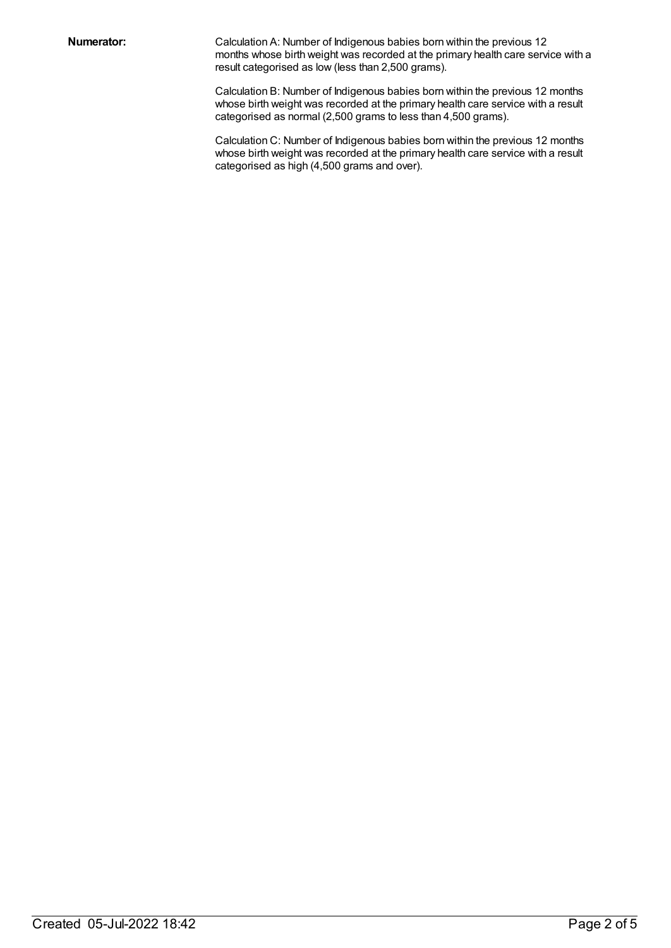**Numerator:** Calculation A: Number of Indigenous babies born within the previous 12 months whose birth weight was recorded at the primary health care service with a result categorised as low (less than 2,500 grams).

> Calculation B: Number of Indigenous babies born within the previous 12 months whose birth weight was recorded at the primary health care service with a result categorised as normal (2,500 grams to less than 4,500 grams).

> Calculation C: Number of Indigenous babies born within the previous 12 months whose birth weight was recorded at the primary health care service with a result categorised as high (4,500 grams and over).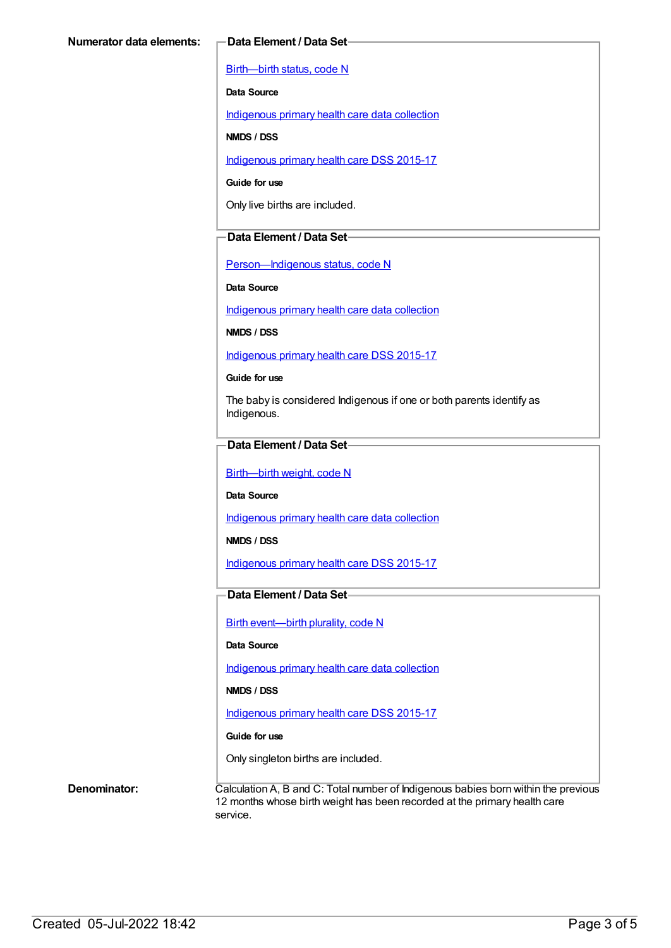[Birth—birth](https://meteor.aihw.gov.au/content/269949) status, code N

**Data Source**

[Indigenous](https://meteor.aihw.gov.au/content/430643) primary health care data collection

**NMDS / DSS**

[Indigenous](https://meteor.aihw.gov.au/content/585036) primary health care DSS 2015-17

**Guide for use**

Only live births are included.

#### **Data Element / Data Set**

[Person—Indigenous](https://meteor.aihw.gov.au/content/291036) status, code N

**Data Source**

[Indigenous](https://meteor.aihw.gov.au/content/430643) primary health care data collection

**NMDS / DSS**

[Indigenous](https://meteor.aihw.gov.au/content/585036) primary health care DSS 2015-17

**Guide for use**

The baby is considered Indigenous if one or both parents identify as Indigenous.

### **Data Element / Data Set**

[Birth—birth](https://meteor.aihw.gov.au/content/459938) weight, code N

**Data Source**

[Indigenous](https://meteor.aihw.gov.au/content/430643) primary health care data collection

**NMDS / DSS**

[Indigenous](https://meteor.aihw.gov.au/content/585036) primary health care DSS 2015-17

### **Data Element / Data Set**

Birth [event—birth](https://meteor.aihw.gov.au/content/482409) plurality, code N

#### **Data Source**

[Indigenous](https://meteor.aihw.gov.au/content/430643) primary health care data collection

**NMDS / DSS**

[Indigenous](https://meteor.aihw.gov.au/content/585036) primary health care DSS 2015-17

#### **Guide for use**

Only singleton births are included.

**Denominator:** Calculation A, B and C: Total number of Indigenous babies born within the previous 12 months whose birth weight has been recorded at the primary health care service.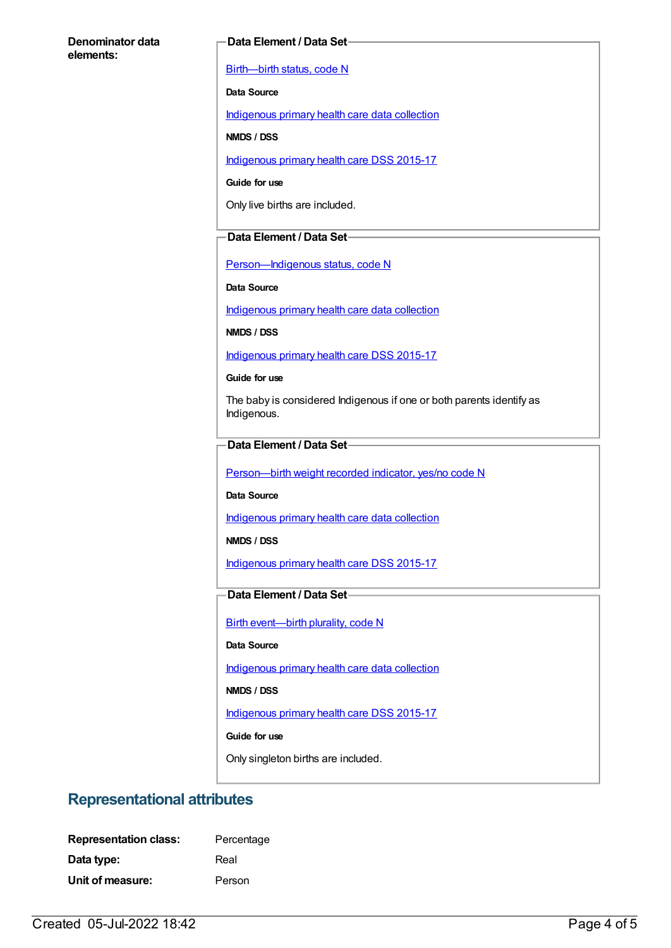#### **Denominator data elements:**

#### **Data Element / Data Set**

[Birth—birth](https://meteor.aihw.gov.au/content/269949) status, code N

**Data Source**

[Indigenous](https://meteor.aihw.gov.au/content/430643) primary health care data collection

**NMDS / DSS**

[Indigenous](https://meteor.aihw.gov.au/content/585036) primary health care DSS 2015-17

**Guide for use**

Only live births are included.

#### **Data Element / Data Set**

[Person—Indigenous](https://meteor.aihw.gov.au/content/291036) status, code N

**Data Source**

[Indigenous](https://meteor.aihw.gov.au/content/430643) primary health care data collection

**NMDS / DSS**

[Indigenous](https://meteor.aihw.gov.au/content/585036) primary health care DSS 2015-17

**Guide for use**

The baby is considered Indigenous if one or both parents identify as Indigenous.

#### **Data Element / Data Set**

[Person—birth](https://meteor.aihw.gov.au/content/441701) weight recorded indicator, yes/no code N

**Data Source**

[Indigenous](https://meteor.aihw.gov.au/content/430643) primary health care data collection

**NMDS / DSS**

[Indigenous](https://meteor.aihw.gov.au/content/585036) primary health care DSS 2015-17

### **Data Element / Data Set**

Birth [event—birth](https://meteor.aihw.gov.au/content/482409) plurality, code N

#### **Data Source**

[Indigenous](https://meteor.aihw.gov.au/content/430643) primary health care data collection

**NMDS / DSS**

[Indigenous](https://meteor.aihw.gov.au/content/585036) primary health care DSS 2015-17

**Guide for use**

Only singleton births are included.

## **Representational attributes**

| <b>Representation class:</b> | Percentage |
|------------------------------|------------|
| Data type:                   | Real       |
| Unit of measure:             | Person     |